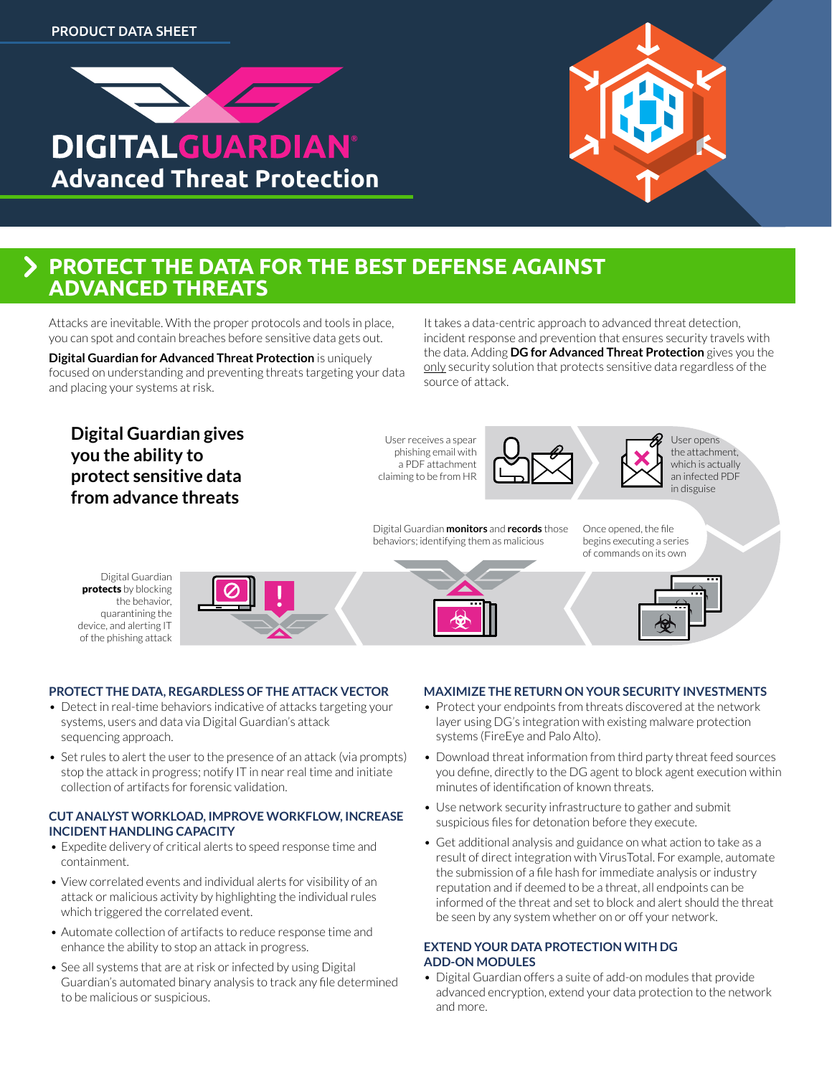



## **PROTECT THE DATA FOR THE BEST DEFENSE AGAINST ADVANCED THREATS**

Attacks are inevitable. With the proper protocols and tools in place, you can spot and contain breaches before sensitive data gets out.

**Digital Guardian for Advanced Threat Protection** is uniquely focused on understanding and preventing threats targeting your data and placing your systems at risk.

It takes a data-centric approach to advanced threat detection, incident response and prevention that ensures security travels with the data. Adding **DG for Advanced Threat Protection** gives you the only security solution that protects sensitive data regardless of the source of attack.

### **Digital Guardian gives you the ability to protect sensitive data from advance threats**

User receives a spear phishing email with a PDF attachment claiming to be from HR

Digital Guardian **monitors** and **records** those behaviors; identifying them as malicious





Once opened, the file begins executing a series of commands on its own

User opens the attachment, which is actually an infected PDF in disguise

Digital Guardian protects by blocking the behavior, quarantining the device, and alerting IT of the phishing attack

- **PROTECT THE DATA, REGARDLESS OF THE ATTACK VECTOR** • Detect in real-time behaviors indicative of attacks targeting your systems, users and data via Digital Guardian's attack sequencing approach.
- Set rules to alert the user to the presence of an attack (via prompts) stop the attack in progress; notify IT in near real time and initiate collection of artifacts for forensic validation.

#### **CUT ANALYST WORKLOAD, IMPROVE WORKFLOW, INCREASE INCIDENT HANDLING CAPACITY**

- Expedite delivery of critical alerts to speed response time and containment.
- View correlated events and individual alerts for visibility of an attack or malicious activity by highlighting the individual rules which triggered the correlated event.
- Automate collection of artifacts to reduce response time and enhance the ability to stop an attack in progress.
- See all systems that are at risk or infected by using Digital Guardian's automated binary analysis to track any file determined to be malicious or suspicious.

#### **MAXIMIZE THE RETURN ON YOUR SECURITY INVESTMENTS**

- Protect your endpoints from threats discovered at the network layer using DG's integration with existing malware protection systems (FireEye and Palo Alto).
- Download threat information from third party threat feed sources you define, directly to the DG agent to block agent execution within minutes of identification of known threats.
- Use network security infrastructure to gather and submit suspicious files for detonation before they execute.
- Get additional analysis and guidance on what action to take as a result of direct integration with VirusTotal. For example, automate the submission of a file hash for immediate analysis or industry reputation and if deemed to be a threat, all endpoints can be informed of the threat and set to block and alert should the threat be seen by any system whether on or off your network.

#### **EXTEND YOUR DATA PROTECTION WITH DG ADD-ON MODULES**

• Digital Guardian offers a suite of add-on modules that provide advanced encryption, extend your data protection to the network and more.